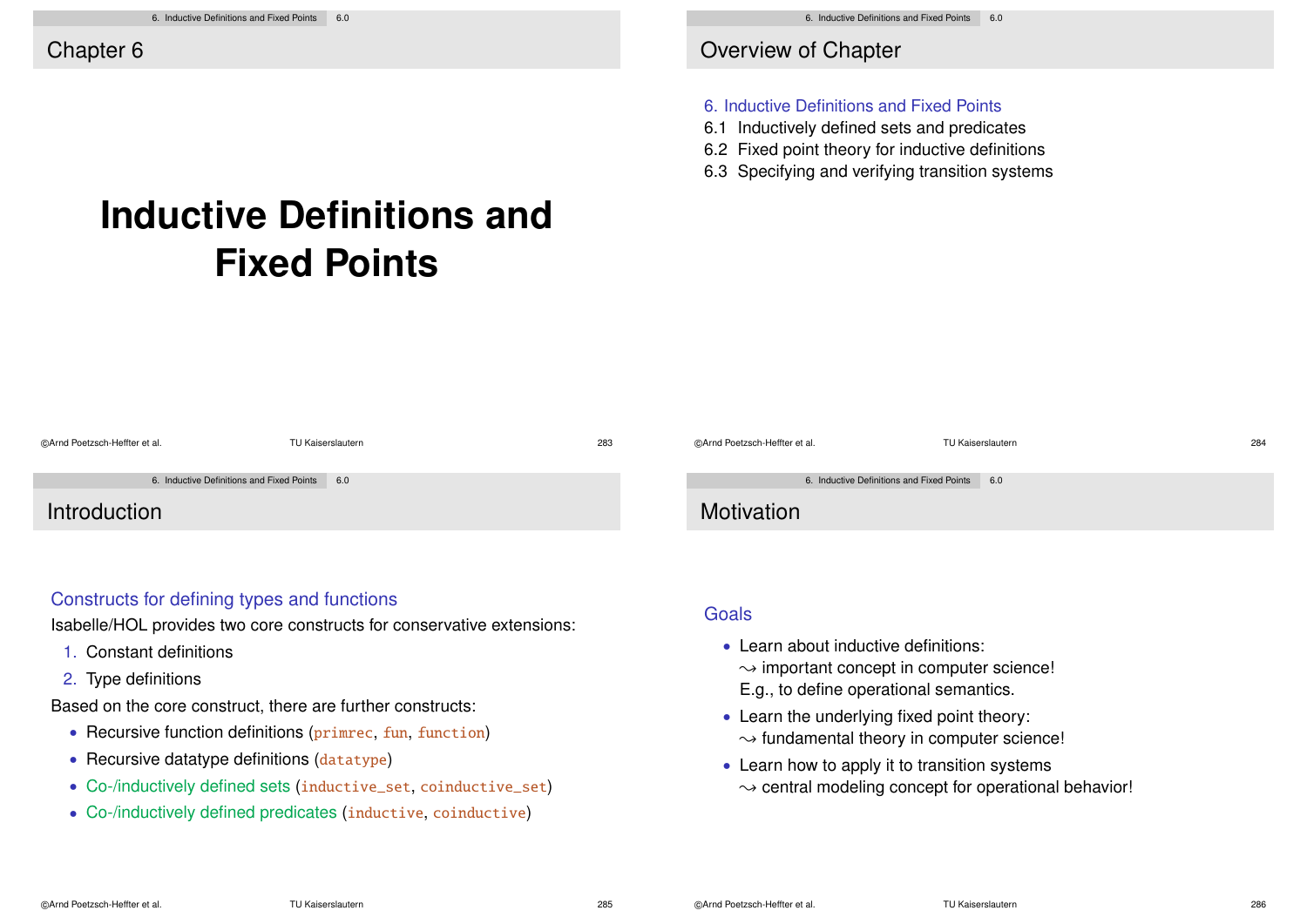Overview of Chapter

#### 6. Inductive Definitions and Fixed Points

- 6.1 Inductively defined sets and predicates
- 6.2 Fixed point theory for inductive definitions
- 6.3 Specifying and verifying transition systems

# **Inductive Definitions and Fixed Points**

| ©Arnd Poetzsch-Heffter et al.                 | TU Kaiserslautern | 283 | ©Arnd Poetzsch-Heffter et al.                 | TU Kaiserslautern | 284 |
|-----------------------------------------------|-------------------|-----|-----------------------------------------------|-------------------|-----|
| 6. Inductive Definitions and Fixed Points 6.0 |                   |     | 6. Inductive Definitions and Fixed Points 6.0 |                   |     |
| Introduction                                  |                   |     | Motivation                                    |                   |     |

### Constructs for defining types and functions

Isabelle/HOL provides two core constructs for conservative extensions:

- 1. Constant definitions
- 2. Type definitions

Based on the core construct, there are further constructs:

- Recursive function definitions (primrec, fun, function)
- Recursive datatype definitions (datatype)
- Co-/inductively defined sets (inductive\_set, coinductive\_set)
- Co-/inductively defined predicates (inductive, coinductive)

**Goals** 

- Learn about inductive definitions:  $\rightarrow$  important concept in computer science! E.g., to define operational semantics.
- Learn the underlying fixed point theory:  $\rightarrow$  fundamental theory in computer science!
- Learn how to apply it to transition systems  $\rightarrow$  central modeling concept for operational behavior!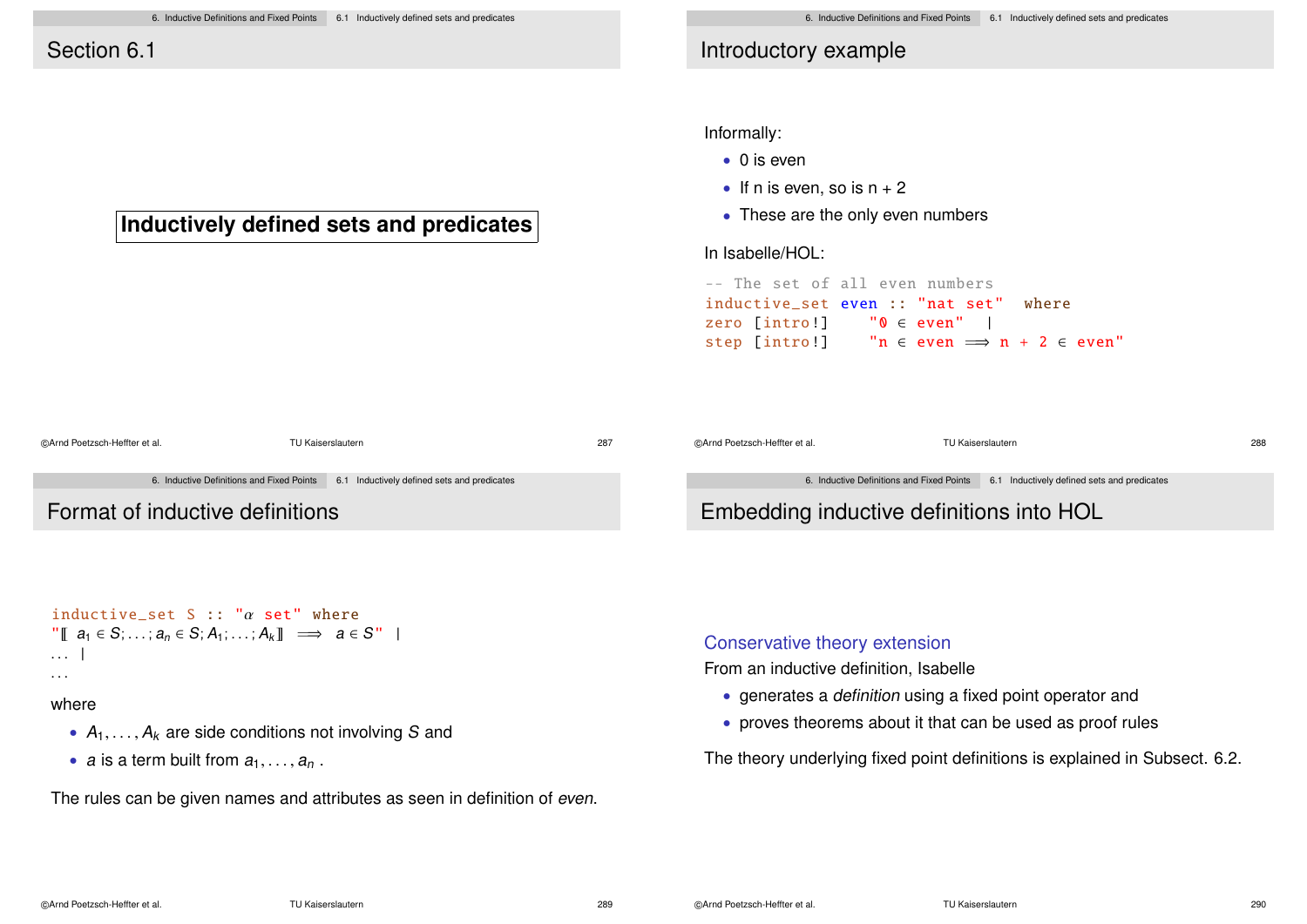**Inductively defined sets and predicates**

# Introductory example

Informally:

- 0 is even
- If n is even, so is  $n + 2$
- These are the only even numbers

In Isabelle/HOL:

```
-- The set of all even numbers
inductive set even :: "nat set" where
zero [intro!] "0 \in even" |<br>step [intro!] "n \in even \implies\mathsf{in} \in \mathsf{even} \implies \mathsf{n} + 2 \in \mathsf{even}"
```

| @Arnd Poetzsch-Heffter et al.   | TU Kaiserslautern                                                                     | 287 | ©Arnd Poetzsch-Heffter et al. | TU Kaiserslautern                                                                     | 288 |
|---------------------------------|---------------------------------------------------------------------------------------|-----|-------------------------------|---------------------------------------------------------------------------------------|-----|
|                                 | 6. Inductive Definitions and Fixed Points 6.1 Inductively defined sets and predicates |     |                               | 6. Inductive Definitions and Fixed Points 6.1 Inductively defined sets and predicates |     |
| Format of inductive definitions |                                                                                       |     |                               | Embedding inductive definitions into HOL                                              |     |

```
inductive set S :: "\alpha set" where
\| \mathbb{T} \mid a_1 \in S: \ldots: a_n \in S: A_1: \ldots: A_k \| \implies a \in S''. . . |
```
#### where

- $A_1, \ldots, A_k$  are side conditions not involving S and
- a is a term built from  $a_1, \ldots, a_n$ .

The rules can be given names and attributes as seen in definition of even.

### Conservative theory extension

From an inductive definition, Isabelle

- generates a definition using a fixed point operator and
- proves theorems about it that can be used as proof rules

The theory underlying fixed point definitions is explained in Subsect. 6.2.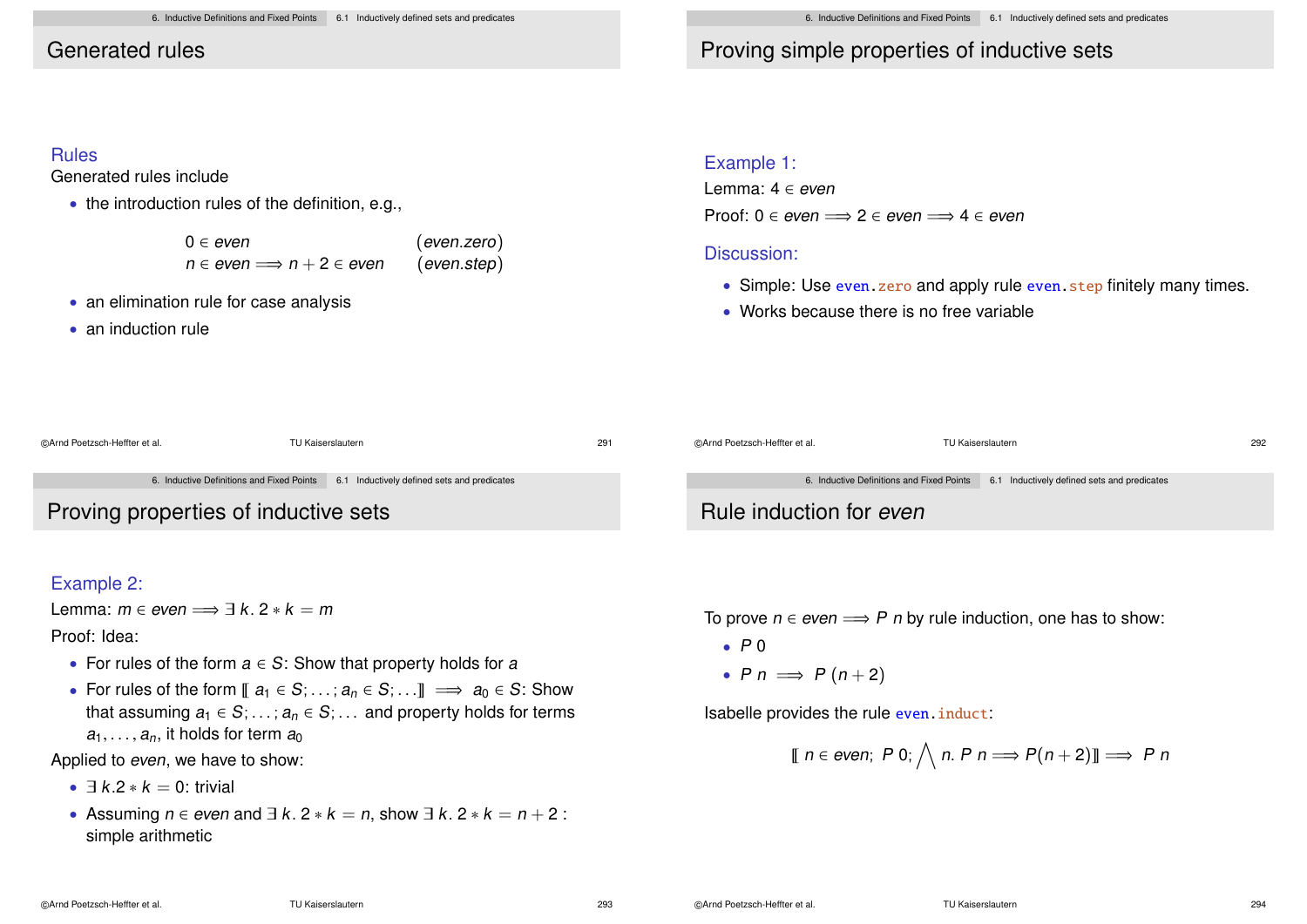# Generated rules

# Proving simple properties of inductive sets

### Rules

Generated rules include

• the introduction rules of the definition, e.g.,

| $0 \in even$                              | (even. zero) |
|-------------------------------------------|--------------|
| $n \in even \Longrightarrow n+2 \in even$ | (even. step) |

- an elimination rule for case analysis
- an induction rule

#### Example 1:

Lemma: 4 ∈ even Proof:  $0 \in even \implies 2 \in even \implies 4 \in even$ 

### Discussion:

- Simple: Use even. zero and apply rule even. step finitely many times.
- Works because there is no free variable

| DArnd Poetzsch-Heffter et al.        | TU Kaiserslautern                                                                     | 291 | @Arnd Poetzsch-Heffter et al. | TU Kaiserslautern                                                                     | 292 |
|--------------------------------------|---------------------------------------------------------------------------------------|-----|-------------------------------|---------------------------------------------------------------------------------------|-----|
| Proving properties of inductive sets | 6. Inductive Definitions and Fixed Points 6.1 Inductively defined sets and predicates |     | Rule induction for even       | 6. Inductive Definitions and Fixed Points 6.1 Inductively defined sets and predicates |     |

### Example 2:

©Arnd Poetzsch-H

Lemma:  $m \in even \implies \exists k. 2 * k = m$ 

Proof: Idea:

- For rules of the form  $a \in S$ : Show that property holds for a
- For rules of the form  $\llbracket a_1 \in S; \ldots; a_n \in S; \ldots \rrbracket \implies a_0 \in S$ : Show that assuming  $a_1 \in S$ ; ...;  $a_n \in S$ ; ... and property holds for terms  $a_1, \ldots, a_n$ , it holds for term  $a_0$

Applied to even, we have to show:

- $\exists k \, 2 * k = 0$ : trivial
- Assuming  $n \in$  even and  $\exists k. 2 * k = n$ , show  $\exists k. 2 * k = n + 2$ : simple arithmetic

To prove  $n \in even \implies P$  n by rule induction, one has to show:

- $\bullet$  P 0
- P  $n \implies P(n+2)$

Isabelle provides the rule even.induct:

$$
\llbracket n \in \text{even}; \ P \ 0; \bigwedge n. \ P \ n \Longrightarrow P(n+2) \rrbracket \Longrightarrow P \ n
$$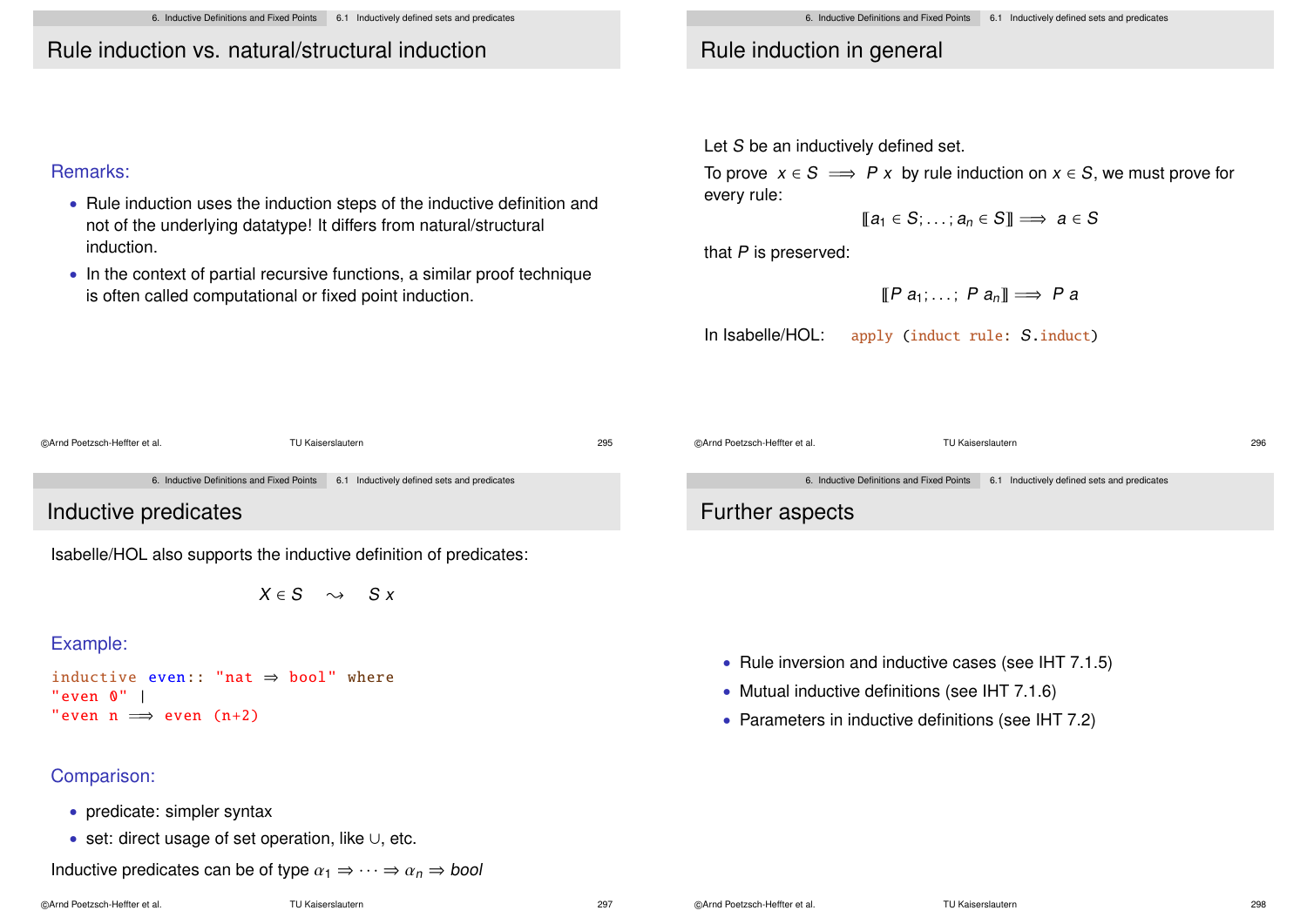6. Inductive Definitions and Fixed Points 6.1 Inductively defined sets and predicates

# Rule induction vs. natural/structural induction

### Remarks:

- Rule induction uses the induction steps of the inductive definition and not of the underlying datatype! It differs from natural/structural induction.
- In the context of partial recursive functions, a similar proof technique is often called computational or fixed point induction.

# Rule induction in general

Let S be an inductively defined set.

To prove  $x \in S \implies P x$  by rule induction on  $x \in S$ , we must prove for every rule:

 $\mathbb{T}a_1 \in S: \ldots: a_n \in S\mathbb{T} \implies a \in S$ 

that P is preserved:

$$
[\![P \ a_1; \ldots; P \ a_n]\!] \Longrightarrow P \ a
$$

In Isabelle/HOL: apply (induct rule: S.induct)

©Arnd Poetzsch-Heffter et al. TU Kaiserslautern 295 6. Inductive Definitions and Fixed Points 6.1 Inductively defined sets and predicates

Inductive predicates

Isabelle/HOL also supports the inductive definition of predicates:

 $X \in S \longrightarrow S X$ 

## Example:

```
inductive even:: "nat \Rightarrow bool" where
"even 0" |
"even n \implies even (n+2)
```
## Comparison:

- predicate: simpler syntax
- set: direct usage of set operation, like ∪, etc.

Inductive predicates can be of type  $\alpha_1 \Rightarrow \cdots \Rightarrow \alpha_n \Rightarrow$  bool

6. Inductive Definitions and Fixed Points 6.1 Inductively defined sets and predicates

©Arnd Poetzsch-Heffter et al. TU Kaiserslautern 296

# Further aspects

- Rule inversion and inductive cases (see IHT 7.1.5)
- Mutual inductive definitions (see IHT 7.1.6)
- Parameters in inductive definitions (see IHT 7.2)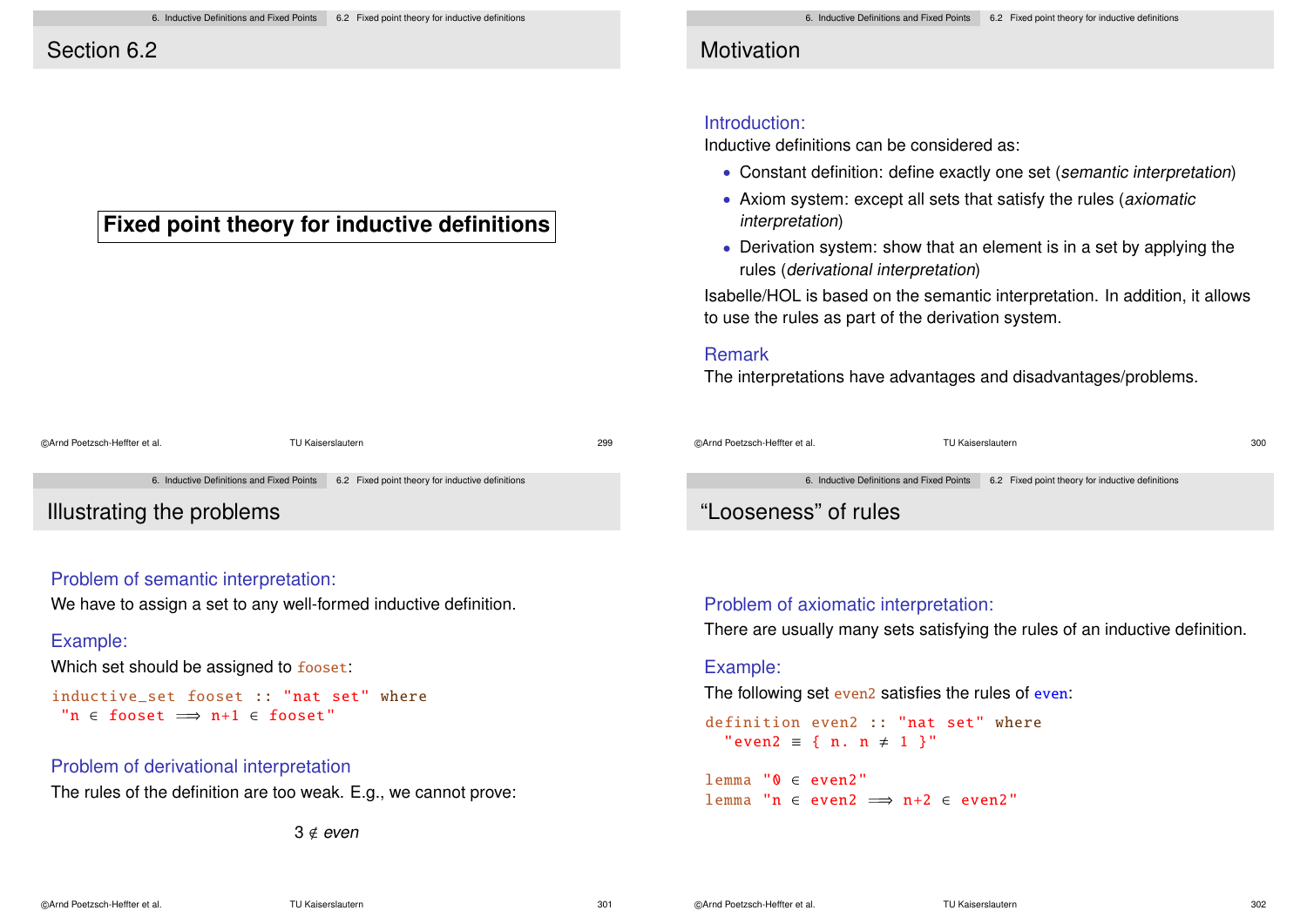# Section 6.2

# **Fixed point theory for inductive definitions**

| ©Arnd Poetzsch-Heffter et al. |                                           | TU Kaiserslautern                                | 299 |
|-------------------------------|-------------------------------------------|--------------------------------------------------|-----|
|                               | 6. Inductive Definitions and Fixed Points | 6.2 Fixed point theory for inductive definitions |     |
|                               |                                           |                                                  |     |

Illustrating the problems

### Problem of semantic interpretation:

We have to assign a set to any well-formed inductive definition.

#### Example:

Which set should be assigned to fooset:

```
inductive set fooset :: "nat set" where
 "n \epsilon fooset \implies n+1 \epsilon fooset"
```
### Problem of derivational interpretation

The rules of the definition are too weak. E.g., we cannot prove:

 $3 \notin even$ 

# **Motivation**

### Introduction:

Inductive definitions can be considered as:

- Constant definition: define exactly one set (semantic interpretation)
- Axiom system: except all sets that satisfy the rules (axiomatic interpretation)
- Derivation system: show that an element is in a set by applying the rules (derivational interpretation)

Isabelle/HOL is based on the semantic interpretation. In addition, it allows to use the rules as part of the derivation system.

### Remark

The interpretations have advantages and disadvantages/problems.

| ©Arnd Poetzsch-Heffter et al. | TU Kaiserslautern                         |                                                  | 300 |
|-------------------------------|-------------------------------------------|--------------------------------------------------|-----|
|                               | 6. Inductive Definitions and Fixed Points | 6.2 Fixed point theory for inductive definitions |     |
|                               |                                           |                                                  |     |

# "Looseness" of rules

### Problem of axiomatic interpretation:

There are usually many sets satisfying the rules of an inductive definition.

#### Example:

The following set even2 satisfies the rules of even:

definition even2 :: "nat set" where "even2 = { n. n  $\neq$  1 }"

lemma "0 ∈ even2" lemma "n  $\in$  even2  $\implies$  n+2  $\in$  even2"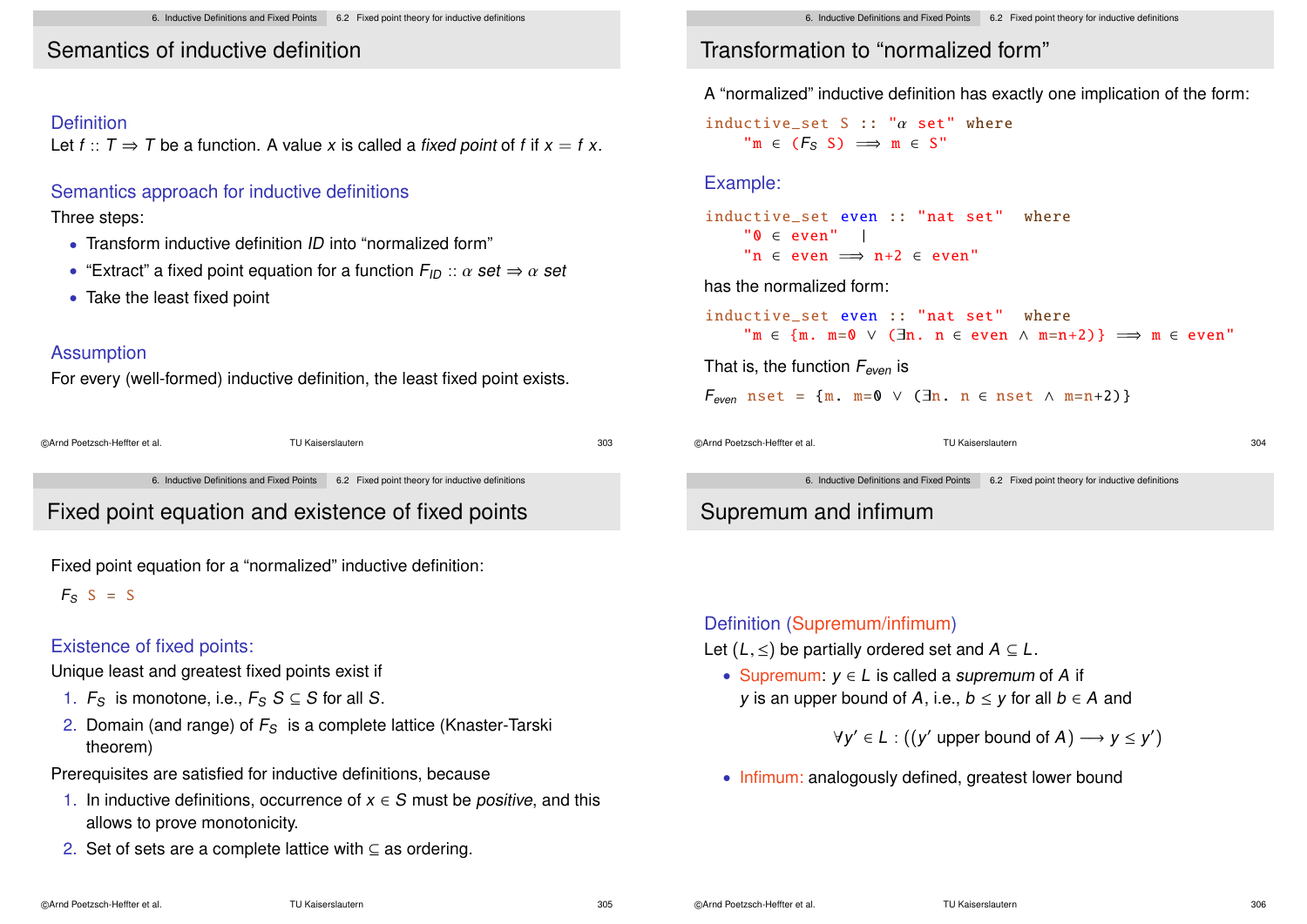# Semantics of inductive definition

### Definition

Let  $f: T \Rightarrow T$  be a function. A value x is called a fixed point of f if  $x = f x$ .

### Semantics approach for inductive definitions

### Three steps:

- Transform inductive definition ID into "normalized form"
- "Extract" a fixed point equation for a function  $F_{ID}$  ::  $\alpha$  set  $\Rightarrow \alpha$  set
- Take the least fixed point

### Assumption

For every (well-formed) inductive definition, the least fixed point exists.

| @Arnd Poetzsch-Heffter et al. | TU Kaiserslautern | 303 |
|-------------------------------|-------------------|-----|
|                               |                   |     |

6. Inductive Definitions and Fixed Points 6.2 Fixed point theory for inductive definitions

# Fixed point equation and existence of fixed points

Fixed point equation for a "normalized" inductive definition:

 $F_S$  S = S

### Existence of fixed points:

Unique least and greatest fixed points exist if

- 1.  $F_S$  is monotone, i.e.,  $F_S S \subseteq S$  for all S.
- 2. Domain (and range) of  $F<sub>S</sub>$  is a complete lattice (Knaster-Tarski theorem)

Prerequisites are satisfied for inductive definitions, because

- 1. In inductive definitions, occurrence of  $x \in S$  must be *positive*, and this allows to prove monotonicity.
- 2. Set of sets are a complete lattice with ⊆ as ordering.

# Transformation to "normalized form"

A "normalized" inductive definition has exactly one implication of the form:

inductive set S :: " $\alpha$  set" where  $\mathbb{P} \mathfrak{m} \in (F_S \ S) \implies \mathfrak{m} \in S$ "

### Example:

inductive set even :: "nat set" where  $"0 \in even"$  | "n  $\epsilon$  even  $\implies$  n+2  $\epsilon$  even"

#### has the normalized form:

```
inductive set even :: "nat set" where
           \mathbb{P} \mathfrak{m} \in \{ \mathfrak{m}. \mathfrak{m} = 0 \vee (\exists \mathfrak{n}. \mathfrak{n} \in \text{even} \wedge \mathfrak{m} = \mathfrak{n} + 2) \} \implies \mathfrak{m} \in \text{even}
```
That is, the function  $F_{even}$  is

 $F_{even}$  nset = {m. m=0  $\vee$  ( $\exists$ n. n  $\in$  nset  $\wedge$  m=n+2)}

©Arnd Poetzsch-Heffter et al. TU Kaiserslautern 304

6. Inductive Definitions and Fixed Points 6.2 Fixed point theory for inductive definitions

# Supremum and infimum

#### Definition (Supremum/infimum)

- Let  $(L, \leq)$  be partially ordered set and  $A \subseteq L$ .
	- Supremum:  $y \in L$  is called a *supremum* of A if y is an upper bound of A, i.e.,  $b \le y$  for all  $b \in A$  and

 $\forall y' \in L : ((y' \text{ upper bound of } A) \longrightarrow y \leq y')$ 

• Infimum: analogously defined, greatest lower bound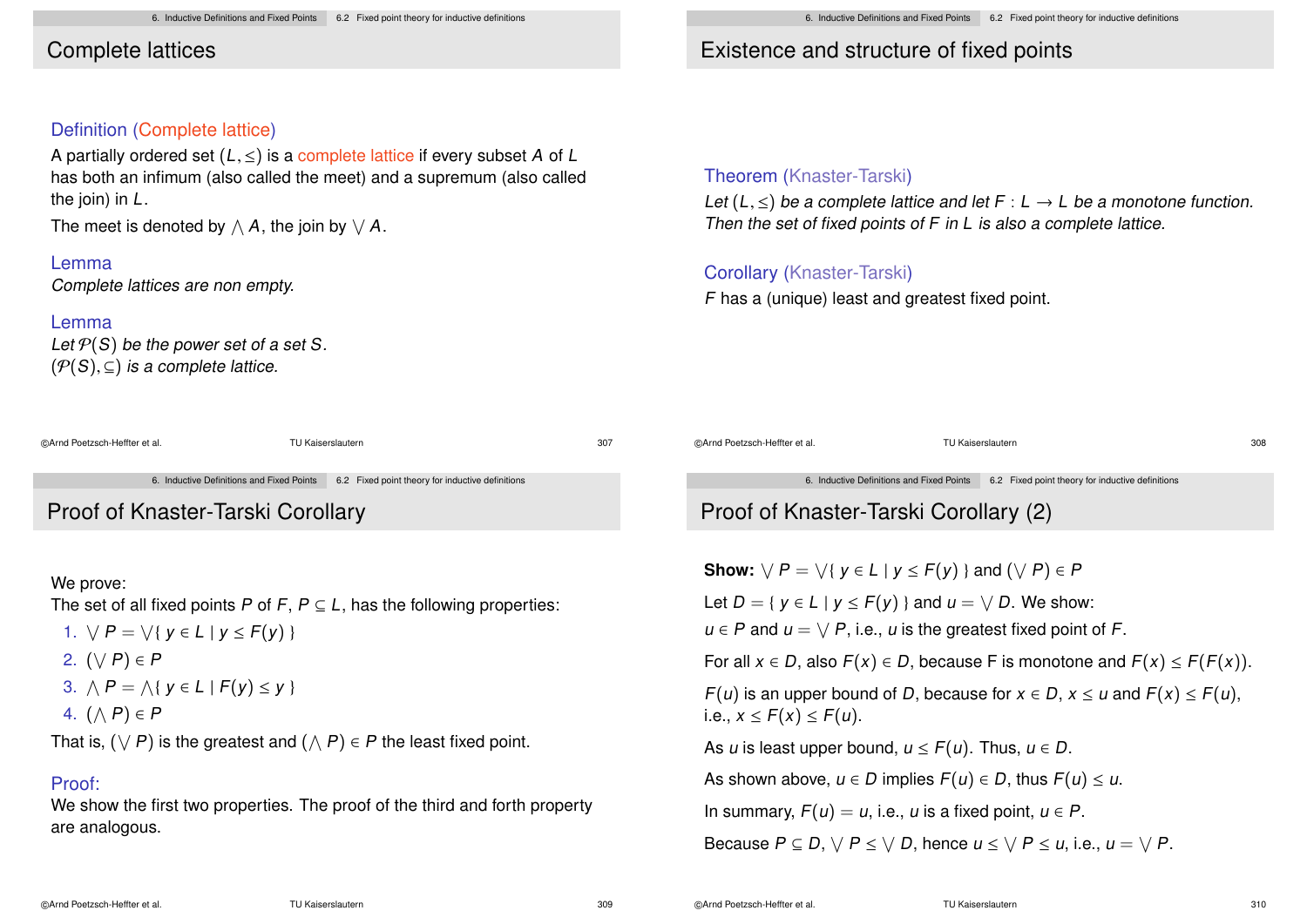# Complete lattices

### Definition (Complete lattice)

A partially ordered set  $(L, \leq)$  is a complete lattice if every subset A of L has both an infimum (also called the meet) and a supremum (also called the join) in L.

The meet is denoted by  $\wedge$   $\boldsymbol{A},$  the join by  $\vee$   $\boldsymbol{A}.$ 

### Lemma

Complete lattices are non empty.

#### Lemma

Let  $P(S)$  be the power set of a set S.  $(\mathcal{P}(S), \subseteq)$  is a complete lattice.

| ©Arnd Poetzsch-Heffter et al. | TU Kaiserslautern | 307 |
|-------------------------------|-------------------|-----|
|                               |                   |     |

6. Inductive Definitions and Fixed Points 6.2 Fixed point theory for inductive definitions

# Proof of Knaster-Tarski Corollary

#### We prove:

The set of all fixed points P of F,  $P \subseteq L$ , has the following properties:

- 1.  $\forall P = \forall \{ y \in L \mid y \leq F(y) \}$
- 2.  $(\vee P) \in P$
- 3.  $\bigwedge P = \bigwedge \{ y \in L \mid F(y) \leq y \}$
- 4.  $(\wedge P) \in P$

That is,  $(\vee P)$  is the greatest and  $(\wedge P) \in P$  the least fixed point.

### Proof:

We show the first two properties. The proof of the third and forth property are analogous.

# Existence and structure of fixed points

### Theorem (Knaster-Tarski)

Let  $(L, \leq)$  be a complete lattice and let  $F : L \to L$  be a monotone function. Then the set of fixed points of F in L is also a complete lattice.

# Corollary (Knaster-Tarski)

F has a (unique) least and greatest fixed point.

©Arnd Poetzsch-Heffter et al. TU Kaiserslautern 308

6. Inductive Definitions and Fixed Points 6.2 Fixed point theory for inductive definitions

# Proof of Knaster-Tarski Corollary (2)

**Show:**  $\forall P = \forall \{ y \in L \mid y \leq F(y) \}$  and  $(\forall P) \in P$ 

Let  $D = \{ y \in L \mid y \leq F(y) \}$  and  $u = \sqrt{D}$ . We show:

 $u \in P$  and  $u = \bigvee P$ , i.e., u is the greatest fixed point of F.

For all  $x \in D$ , also  $F(x) \in D$ , because F is monotone and  $F(x) \leq F(F(x))$ .  $F(u)$  is an upper bound of D, because for  $x \in D$ ,  $x \le u$  and  $F(x) \le F(u)$ , i.e.,  $x \leq F(x) \leq F(u)$ .

As u is least upper bound,  $u \leq F(u)$ . Thus,  $u \in D$ .

As shown above,  $u \in D$  implies  $F(u) \in D$ , thus  $F(u) \leq u$ .

In summary,  $F(u) = u$ , i.e., u is a fixed point,  $u \in P$ .

Because  $P \subseteq D$ ,  $\forall P \leq \forall D$ , hence  $u \leq \forall P \leq u$ , i.e.,  $u = \forall P$ .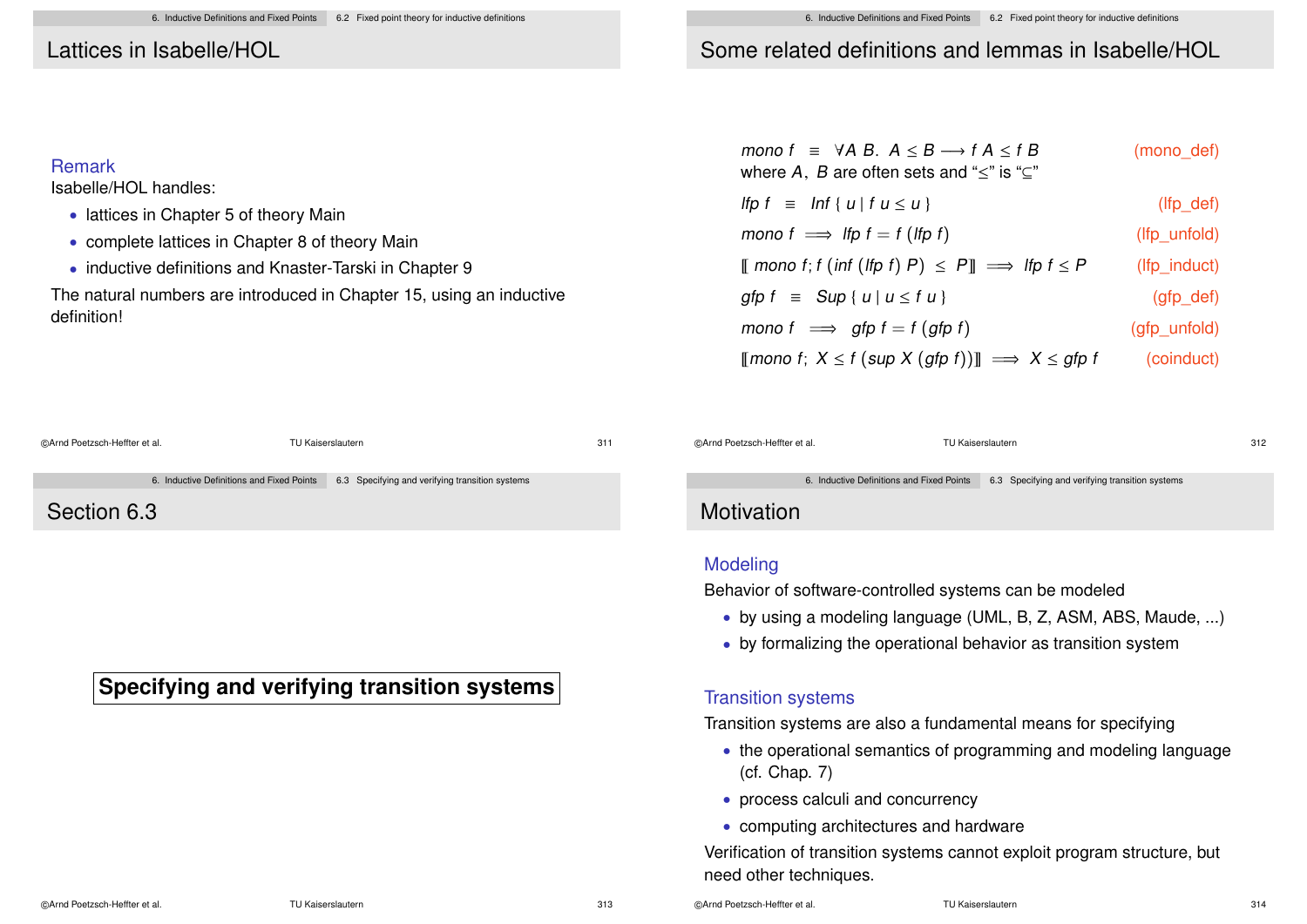### Lattices in Isabelle/HOL

• lattices in Chapter 5 of theory Main

• complete lattices in Chapter 8 of theory Main

• inductive definitions and Knaster-Tarski in Chapter 9

The natural numbers are introduced in Chapter 15, using an inductive

Remark

definition!

Isabelle/HOL handles:

### Some related definitions and lemmas in Isabelle/HOL

| mono $f \equiv \forall A \ B$ . $A \leq B \longrightarrow f A \leq f B$<br>where A, B are often sets and " $\leq$ " is " $\subseteq$ " | (mono def)          |  |
|----------------------------------------------------------------------------------------------------------------------------------------|---------------------|--|
| If $p f \equiv \ln f \{ u \mid f u \leq u \}$                                                                                          | $(lfp$ def)         |  |
| mono $f \implies$ If $f = f$ (If $p f$ )                                                                                               | $(lfp_$ unfold)     |  |
| $\llbracket$ mono f; f (inf (lfp f) P) ≤ P $\rrbracket$ $\implies$ lfp f ≤ P                                                           | (Ifp induct)        |  |
| gfp $f \equiv \text{Sup} \{ u \mid u \leq f u \}$                                                                                      | $(gfp\_\text{def})$ |  |
| mono $f \implies$ gfp $f = f$ (gfp f)                                                                                                  | (gfp unfold)        |  |
| [[mono f; $X \leq f$ (sup $X$ (gfp f))]] $\implies X \leq g$ fp f                                                                      | (coinduct)          |  |

| @Arnd Poetzsch-Heffter et al. | TU Kaiserslautern                                                                         | 311 | @Arnd Poetzsch-Heffter et al. | TU Kaiserslautern                                                                         | 312 |
|-------------------------------|-------------------------------------------------------------------------------------------|-----|-------------------------------|-------------------------------------------------------------------------------------------|-----|
|                               |                                                                                           |     |                               |                                                                                           |     |
|                               | 6. Inductive Definitions and Fixed Points 6.3 Specifying and verifying transition systems |     |                               | 6. Inductive Definitions and Fixed Points 6.3 Specifying and verifying transition systems |     |
| Section 6.3                   |                                                                                           |     | Motivation                    |                                                                                           |     |
|                               |                                                                                           |     |                               |                                                                                           |     |

# **Specifying and verifying transition systems**

©Arnd Poetzsch-Heffter et al. TU Kaiserslautern 314

Modeling

Transition systems

(cf. Chap. 7)

need other techniques.

• process calculi and concurrency

• computing architectures and hardware

Verification of transition systems cannot exploit program structure, but

• by using a modeling language (UML, B, Z, ASM, ABS, Maude, ...)

• the operational semantics of programming and modeling language

• by formalizing the operational behavior as transition system

Transition systems are also a fundamental means for specifying

Behavior of software-controlled systems can be modeled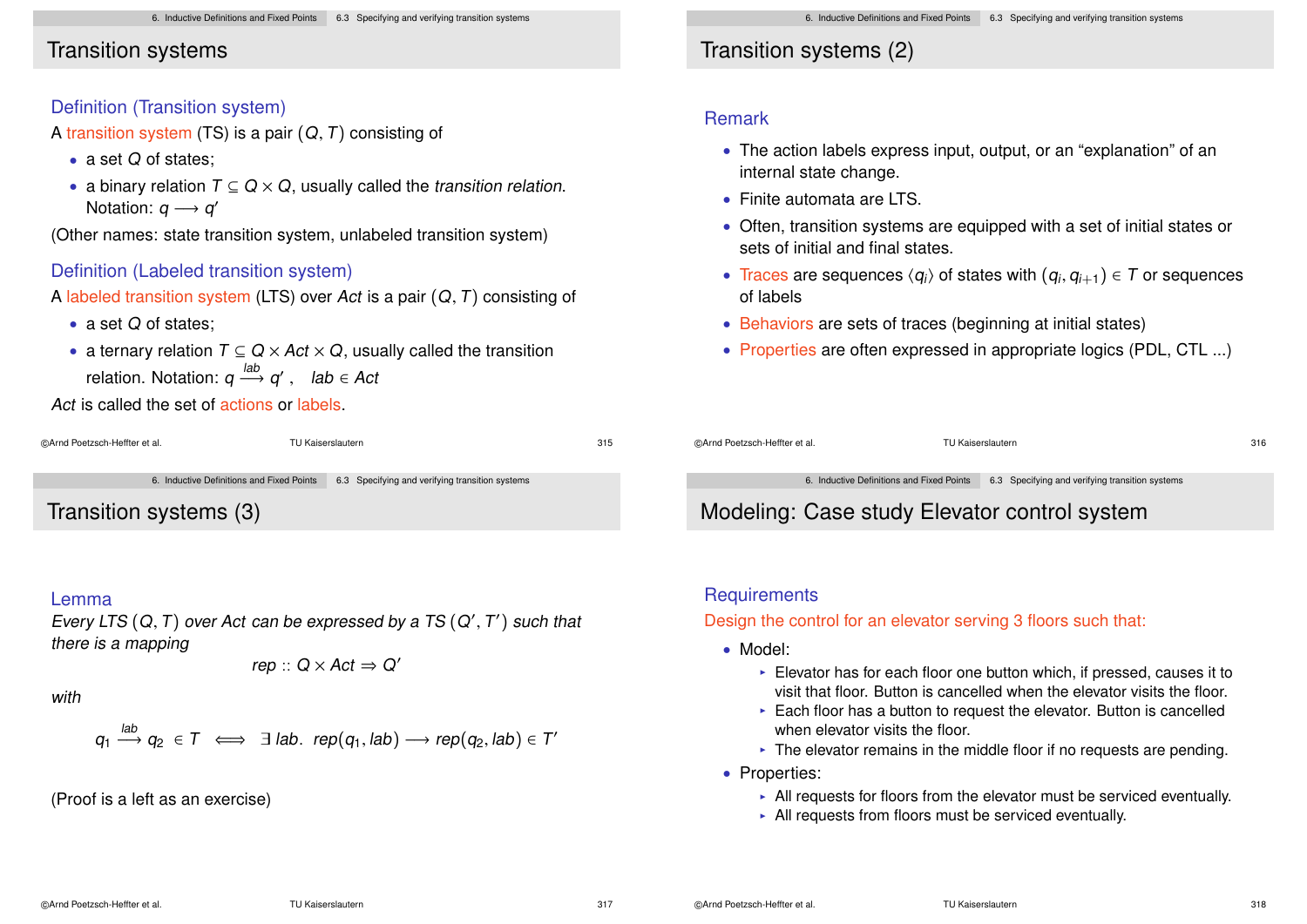• a binary relation  $T \subseteq Q \times Q$ , usually called the transition relation.

(Other names: state transition system, unlabeled transition system)

A labeled transition system (LTS) over Act is a pair  $(Q, T)$  consisting of

• a ternary relation  $T \subseteq Q \times Act \times Q$ , usually called the transition

### Transition systems

• a set Q of states:

Notation:  $q \rightarrow q'$ 

• a set Q of states:

Definition (Transition system)

A transition system (TS) is a pair  $(Q, T)$  consisting of

# Transition systems (2)

#### Remark

- The action labels express input, output, or an "explanation" of an internal state change.
- Finite automata are LTS.
- Often, transition systems are equipped with a set of initial states or sets of initial and final states.
- Traces are sequences  $\langle q_i \rangle$  of states with  $(q_i, q_{i+1}) \in T$  or sequences of labels
- Behaviors are sets of traces (beginning at initial states)
- Properties are often expressed in appropriate logics (PDL, CTL ...)

Act is called the set of actions or labels.

relation. Notation:  $q \stackrel{lab}{\longrightarrow} q'$  ,  $lab \in Act$ 

Definition (Labeled transition system)

```
©Arnd Poetzsch-Heffter et al. TU Kaiserslautern 315
```
6. Inductive Definitions and Fixed Points 6.3 Specifying and verifying transition systems

Transition systems (3)

#### Lemma

Every LTS  $(Q,T)$  over Act can be expressed by a TS  $(Q',T')$  such that there is a mapping

$$
rep :: Q \times Act \Rightarrow Q'
$$

with

$$
q_1 \stackrel{\text{Iao}}{\longrightarrow} q_2 \in T \iff \exists \text{ lab. rep}(q_1, \text{lab}) \longrightarrow \text{rep}(q_2, \text{lab}) \in T'
$$

(Proof is a left as an exercise)

 $l = L$ 

©Arnd Poetzsch-Heffter et al. TU Kaiserslautern 316

6. Inductive Definitions and Fixed Points 6.3 Specifying and verifying transition systems

# Modeling: Case study Elevator control system

### **Requirements**

Design the control for an elevator serving 3 floors such that:

- Model:
	- $\triangleright$  Elevator has for each floor one button which, if pressed, causes it to visit that floor. Button is cancelled when the elevator visits the floor.
	- $\blacktriangleright$  Each floor has a button to request the elevator. Button is cancelled when elevator visits the floor.
	- $\blacktriangleright$  The elevator remains in the middle floor if no requests are pending.
- Properties:
	- $\blacktriangleright$  All requests for floors from the elevator must be serviced eventually.
	- $\triangleright$  All requests from floors must be serviced eventually.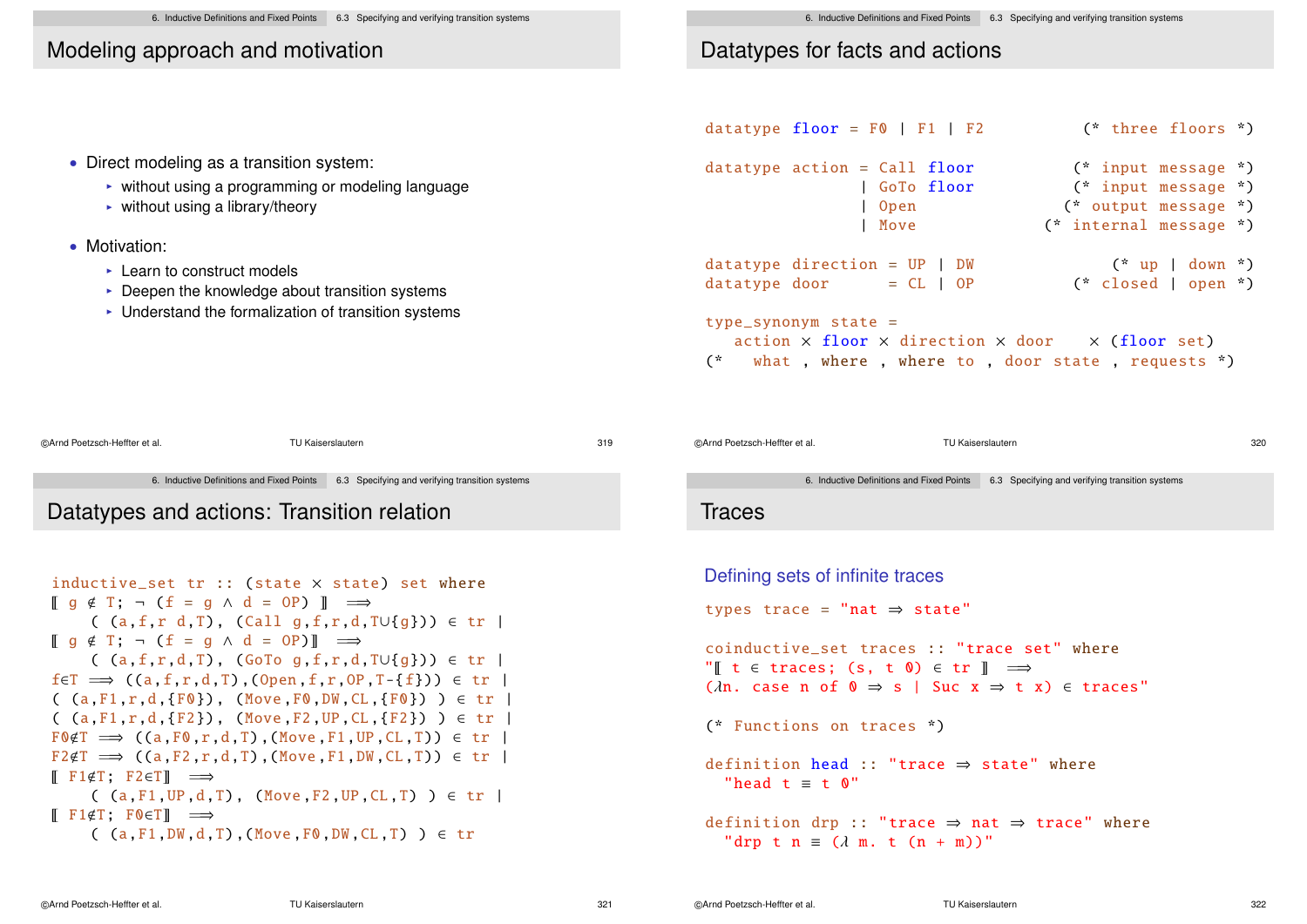6. Inductive Definitions and Fixed Points 6.3 Specifying and verifying transition systems

# Modeling approach and motivation

# Datatypes for facts and actions

|                                                                                                                                                                                                      | datatype $floor = F0$   $F1$   $F2$                                                                                                                                   | (* three floors *)                             |
|------------------------------------------------------------------------------------------------------------------------------------------------------------------------------------------------------|-----------------------------------------------------------------------------------------------------------------------------------------------------------------------|------------------------------------------------|
| • Direct modeling as a transition system:<br>• without using a programming or modeling language                                                                                                      | $datatype action = Call floor$<br>l GoTo floor                                                                                                                        | (* input message *)<br>(* input message *)     |
| $\triangleright$ without using a library/theory                                                                                                                                                      | Open<br>l Move                                                                                                                                                        | (* output message *)<br>(* internal message *) |
| • Motivation:<br>$\triangleright$ Learn to construct models<br>$\triangleright$ Deepen the knowledge about transition systems<br>$\triangleright$ Understand the formalization of transition systems | $datatype$ direction = $UP$   $DW$<br>datatype door<br>$= CL \mid OP$                                                                                                 | $(* up   down *)$<br>(* closed   open *)       |
|                                                                                                                                                                                                      | $type\_symonym$ state =<br>$action \times floor \times direction \times door \times (floor set)$<br>what, where, where to, door state, requests *)<br>$\mathcal{C}^*$ |                                                |

```
©Arnd Poetzsch-Heffter et al. TU Kaiserslautern 319
               6. Inductive Definitions and Fixed Points 6.3 Specifying and verifying transition systems
Datatypes and actions: Transition relation
```

```
inductive_set tr :: (state × state) set where
\begin{bmatrix} q \notin T \\ \end{bmatrix}; \neg (f = q \land d = 0) \begin{bmatrix} \end{bmatrix} \implies( (a,f,r d,T), (Call g,f,r,d,T∪{g})) ∈ tr |
\llbracket q \notin T; \neg (f = q \land d = 0P) \rrbracket \implies( (a,f,r,d,T), (GoTo g,f,r,d,T∪{g})) ∈ tr |
f \in T \implies ((a, f, r, d, T), (Open, f, r, OP, T - \{f\})) \in tr( (a, F1, r,d, {F0}), (Move F0, DW, CL, {F0}) ) \in \text{tr}( (a,F1,r,d,{F2}), (Move,F2,UP,CL,{F2}) ) \in tr
F \cdot F \cdot F \Rightarrow ((a.F \cdot r.d.T) \cdot (Move.F1.UP CL.T)) \in trF2 \notin T \implies ((a, F2, r, d, T), (Move, F1, DW, CL, T)) \in tr\mathbb{F} F1\inT: F2\inT\mathbb{F} \implies( (a,F1, UP, d,T), (Move F2, UP, CL,T) ) \in tr |
\mathbb{F} F1\not\inT: F0\inTl \implies(A, F1, DW, d, T) , (Move, F0, DW, CI, T) ) \in tr
```

```
©Arnd Poetzsch-Heffter et al. TU Kaiserslautern 320
```
6. Inductive Definitions and Fixed Points 6.3 Specifying and verifying transition systems

### **Traces**

```
Defining sets of infinite traces
types trace =
"nat ⇒ state"
coinductive_set traces :: "trace set" where
"\mathbb{I} t \in traces; (s, t \mathbb{O}) \in tr \mathbb{I} \implies(\lambdan. case n of 0 \Rightarrow s | Suc x \Rightarrow t \neq x) \in traces"
(* Functions on traces *)
definition head :: "trace \Rightarrow state" where
  "head t \equiv t \quad 0"
definition drp :: "trace \Rightarrow nat \Rightarrow trace" where
   "drp t n \equiv (\lambda m, t (n + m))"
```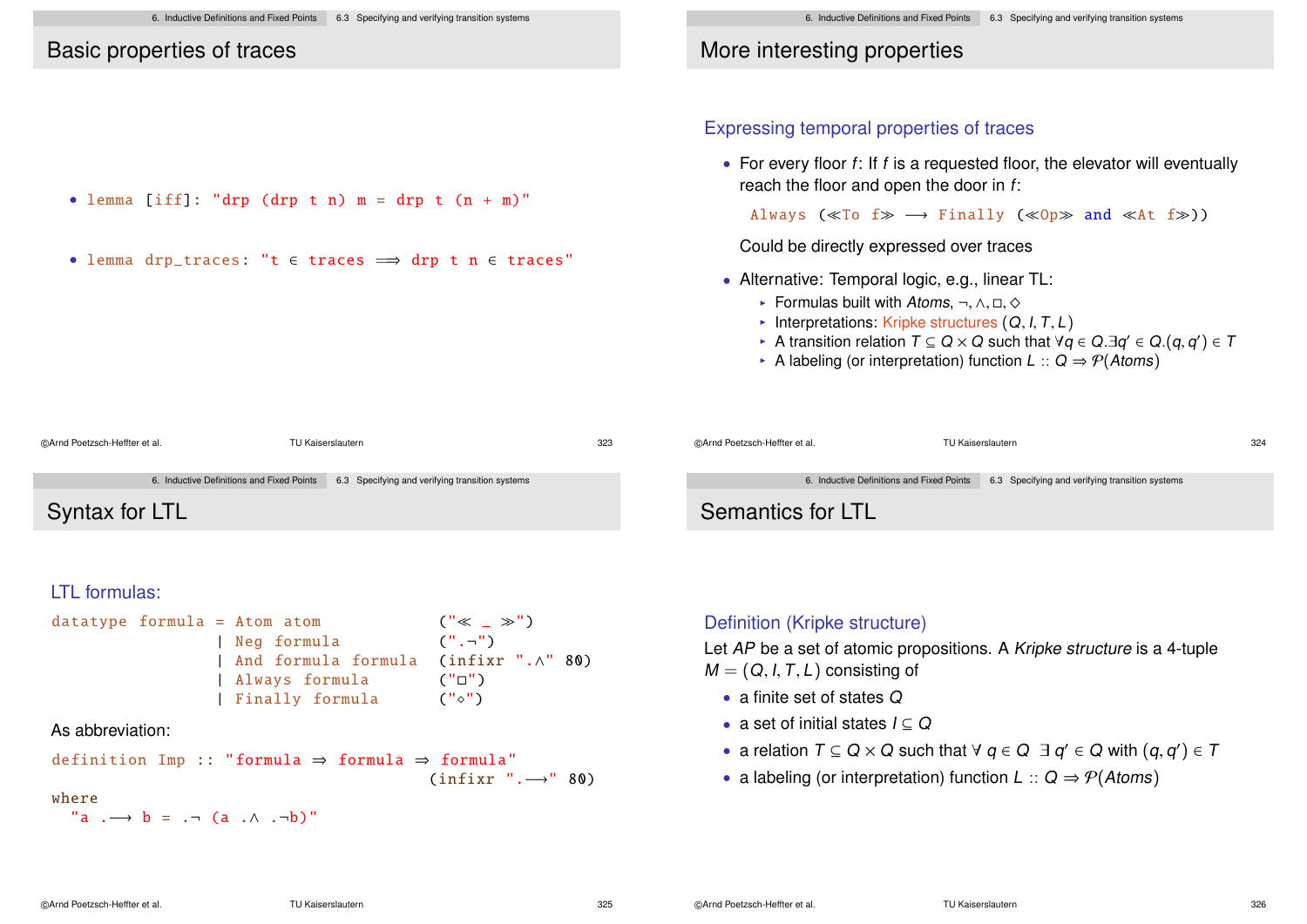6. Inductive Definitions and Fixed Points 6.3 Specifying and verifying transition systems Basic properties of traces • lemma [iff]: "drp (drp t n)  $m =$  drp t  $(n + m)$ " • lemma drp\_traces: "t ∈ traces =⇒ drp t n ∈ traces" 6. Inductive Definitions and Fixed Points 6.3 Specifying and verifying transition systems More interesting properties Expressing temporal properties of traces • For every floor  $f$ : If  $f$  is a requested floor, the elevator will eventually reach the floor and open the door in f: Always ( $\ll$ To f $\gg$   $\rightarrow$  Finally ( $\ll$ Op $\gg$  and  $\ll$ At f $\gg$ )) Could be directly expressed over traces

- Alternative: Temporal logic, e.g., linear TL:
	- Formulas built with Atoms,  $\neg, \wedge, \Box, \Diamond$
	- Interpretations: Kripke structures  $(Q, I, T, L)$
	- **I** A transition relation  $T \subseteq Q \times Q$  such that  $\forall q \in Q \ \exists q' \in Q \ (q, q') \in T$
	- A labeling (or interpretation) function  $L :: Q \Rightarrow \mathcal{P}(Atoms)$

| @Arnd Poetzsch-Heffter et al. | TU Kaiserslautern                                                                         | 323 | @Arnd Poetzsch-Heffter et al. | TU Kaiserslautern |                                                                                           | 324 |
|-------------------------------|-------------------------------------------------------------------------------------------|-----|-------------------------------|-------------------|-------------------------------------------------------------------------------------------|-----|
|                               | 6. Inductive Definitions and Fixed Points 6.3 Specifying and verifying transition systems |     |                               |                   | 6. Inductive Definitions and Fixed Points 6.3 Specifying and verifying transition systems |     |
| Syntax for LTL                |                                                                                           |     | Semantics for LTL             |                   |                                                                                           |     |

### LTL formulas:

datatype formula = Atom atom (" \_ ") | Neg formula (".¬ ") | And formula formula (infixr ".∧" 80) | Always formula ("") | Finally formula ("")

### As abbreviation:

definition Imp :: "formula 
$$
\Rightarrow
$$
 formula  $\Rightarrow$  formula" (infixr". $\rightarrow$ " 80)

### where

```
"a \rightarrow b = \rightarrow (a \land \rightarrow -b)"
```
### Definition (Kripke structure)

Let AP be a set of atomic propositions. A Kripke structure is a 4-tuple  $M = (Q, I, T, L)$  consisting of

- a finite set of states Q
- a set of initial states  $I \subseteq Q$
- a relation  $T \subseteq Q \times Q$  such that  $\forall q \in Q \exists q' \in Q$  with  $(q, q') \in T$
- a labeling (or interpretation) function  $L :: Q \Rightarrow \mathcal{P}(Atoms)$